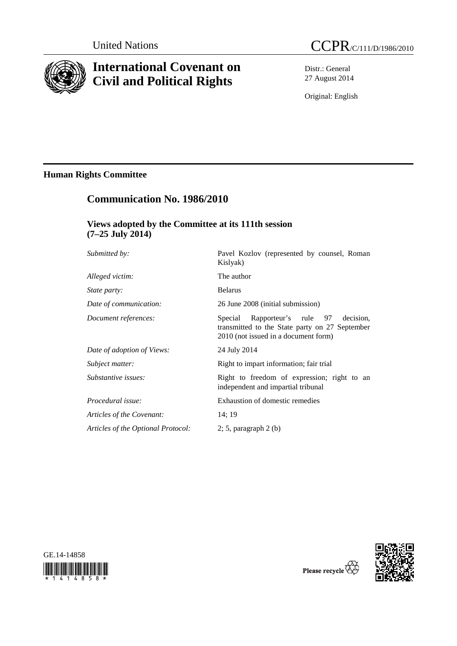

# **International Covenant on Civil and Political Rights**

Distr.: General 27 August 2014

Original: English

## **Human Rights Committee**

# **Communication No. 1986/2010**

## **Views adopted by the Committee at its 111th session (7–25 July 2014)**

| Submitted by:                      | Pavel Kozlov (represented by counsel, Roman<br>Kislyak)                                                                                |
|------------------------------------|----------------------------------------------------------------------------------------------------------------------------------------|
| Alleged victim:                    | The author                                                                                                                             |
| <i>State party:</i>                | <b>Belarus</b>                                                                                                                         |
| Date of communication:             | 26 June 2008 (initial submission)                                                                                                      |
| Document references:               | Rapporteur's rule 97<br>Special<br>decision.<br>transmitted to the State party on 27 September<br>2010 (not issued in a document form) |
| Date of adoption of Views:         | 24 July 2014                                                                                                                           |
| Subject matter:                    | Right to impart information; fair trial                                                                                                |
| Substantive issues:                | Right to freedom of expression; right to an<br>independent and impartial tribunal                                                      |
| Procedural issue:                  | Exhaustion of domestic remedies                                                                                                        |
| Articles of the Covenant:          | 14:19                                                                                                                                  |
| Articles of the Optional Protocol: | $2; 5$ , paragraph $2(b)$                                                                                                              |





Please recycle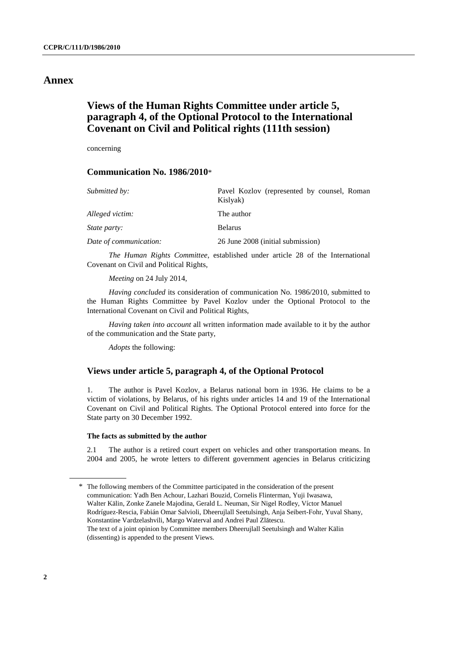## **Annex**

## **Views of the Human Rights Committee under article 5, paragraph 4, of the Optional Protocol to the International Covenant on Civil and Political rights (111th session)**

concerning

### **Communication No. 1986/2010**\*

| Submitted by:          | Pavel Kozlov (represented by counsel, Roman<br>Kislyak) |
|------------------------|---------------------------------------------------------|
| Alleged victim:        | The author                                              |
| <i>State party:</i>    | <b>Belarus</b>                                          |
| Date of communication: | 26 June 2008 (initial submission)                       |

*The Human Rights Committee*, established under article 28 of the International Covenant on Civil and Political Rights,

*Meeting* on 24 July 2014,

*Having concluded* its consideration of communication No. 1986/2010, submitted to the Human Rights Committee by Pavel Kozlov under the Optional Protocol to the International Covenant on Civil and Political Rights,

*Having taken into account* all written information made available to it by the author of the communication and the State party,

*Adopts* the following:

### **Views under article 5, paragraph 4, of the Optional Protocol**

1. The author is Pavel Kozlov, a Belarus national born in 1936. He claims to be a victim of violations, by Belarus, of his rights under articles 14 and 19 of the International Covenant on Civil and Political Rights. The Optional Protocol entered into force for the State party on 30 December 1992.

#### **The facts as submitted by the author**

2.1 The author is a retired court expert on vehicles and other transportation means. In 2004 and 2005, he wrote letters to different government agencies in Belarus criticizing

<sup>\*</sup> The following members of the Committee participated in the consideration of the present communication: Yadh Ben Achour, Lazhari Bouzid, Cornelis Flinterman, Yuji Iwasawa, Walter Kälin, Zonke Zanele Majodina, Gerald L. Neuman, Sir Nigel Rodley, Víctor Manuel Rodríguez-Rescia, Fabián Omar Salvioli, Dheerujlall Seetulsingh, Anja Seibert-Fohr, Yuval Shany, Konstantine Vardzelashvili, Margo Waterval and Andrei Paul Zlătescu. The text of a joint opinion by Committee members Dheerujlall Seetulsingh and Walter Kälin (dissenting) is appended to the present Views.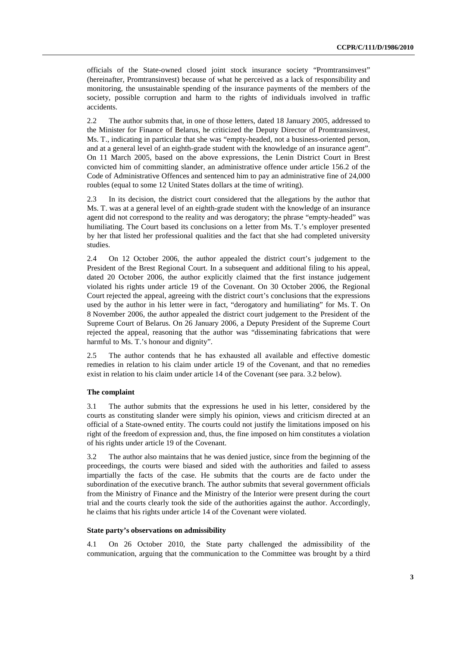officials of the State-owned closed joint stock insurance society "Promtransinvest" (hereinafter, Promtransinvest) because of what he perceived as a lack of responsibility and monitoring, the unsustainable spending of the insurance payments of the members of the society, possible corruption and harm to the rights of individuals involved in traffic accidents.

2.2 The author submits that, in one of those letters, dated 18 January 2005, addressed to the Minister for Finance of Belarus, he criticized the Deputy Director of Promtransinvest, Ms. T., indicating in particular that she was "empty-headed, not a business-oriented person, and at a general level of an eighth-grade student with the knowledge of an insurance agent". On 11 March 2005, based on the above expressions, the Lenin District Court in Brest convicted him of committing slander, an administrative offence under article 156.2 of the Code of Administrative Offences and sentenced him to pay an administrative fine of 24,000 roubles (equal to some 12 United States dollars at the time of writing).

2.3 In its decision, the district court considered that the allegations by the author that Ms. T. was at a general level of an eighth-grade student with the knowledge of an insurance agent did not correspond to the reality and was derogatory; the phrase "empty-headed" was humiliating. The Court based its conclusions on a letter from Ms. T.'s employer presented by her that listed her professional qualities and the fact that she had completed university studies.

2.4 On 12 October 2006, the author appealed the district court's judgement to the President of the Brest Regional Court. In a subsequent and additional filing to his appeal, dated 20 October 2006, the author explicitly claimed that the first instance judgement violated his rights under article 19 of the Covenant. On 30 October 2006, the Regional Court rejected the appeal, agreeing with the district court's conclusions that the expressions used by the author in his letter were in fact, "derogatory and humiliating" for Ms. T. On 8 November 2006, the author appealed the district court judgement to the President of the Supreme Court of Belarus. On 26 January 2006, a Deputy President of the Supreme Court rejected the appeal, reasoning that the author was "disseminating fabrications that were harmful to Ms. T.'s honour and dignity".

2.5 The author contends that he has exhausted all available and effective domestic remedies in relation to his claim under article 19 of the Covenant, and that no remedies exist in relation to his claim under article 14 of the Covenant (see para. 3.2 below).

#### **The complaint**

3.1 The author submits that the expressions he used in his letter, considered by the courts as constituting slander were simply his opinion, views and criticism directed at an official of a State-owned entity. The courts could not justify the limitations imposed on his right of the freedom of expression and, thus, the fine imposed on him constitutes a violation of his rights under article 19 of the Covenant.

3.2 The author also maintains that he was denied justice, since from the beginning of the proceedings, the courts were biased and sided with the authorities and failed to assess impartially the facts of the case. He submits that the courts are de facto under the subordination of the executive branch. The author submits that several government officials from the Ministry of Finance and the Ministry of the Interior were present during the court trial and the courts clearly took the side of the authorities against the author. Accordingly, he claims that his rights under article 14 of the Covenant were violated.

#### **State party's observations on admissibility**

4.1 On 26 October 2010, the State party challenged the admissibility of the communication, arguing that the communication to the Committee was brought by a third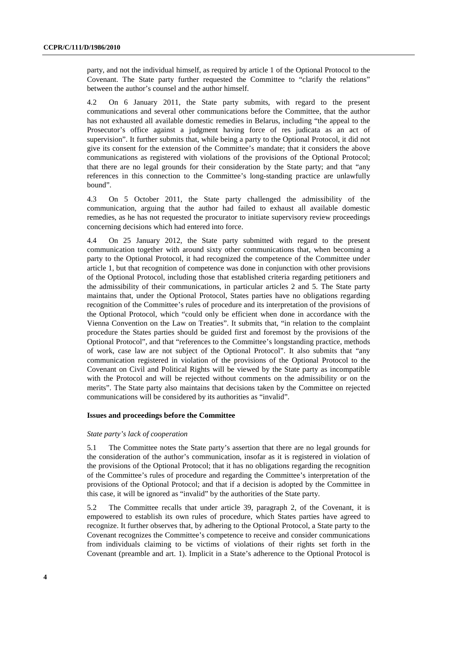party, and not the individual himself, as required by article 1 of the Optional Protocol to the Covenant. The State party further requested the Committee to "clarify the relations" between the author's counsel and the author himself.

4.2 On 6 January 2011, the State party submits, with regard to the present communications and several other communications before the Committee, that the author has not exhausted all available domestic remedies in Belarus, including "the appeal to the Prosecutor's office against a judgment having force of res judicata as an act of supervision". It further submits that, while being a party to the Optional Protocol, it did not give its consent for the extension of the Committee's mandate; that it considers the above communications as registered with violations of the provisions of the Optional Protocol; that there are no legal grounds for their consideration by the State party; and that "any references in this connection to the Committee's long-standing practice are unlawfully bound".

4.3 On 5 October 2011, the State party challenged the admissibility of the communication, arguing that the author had failed to exhaust all available domestic remedies, as he has not requested the procurator to initiate supervisory review proceedings concerning decisions which had entered into force.

4.4 On 25 January 2012, the State party submitted with regard to the present communication together with around sixty other communications that, when becoming a party to the Optional Protocol, it had recognized the competence of the Committee under article 1, but that recognition of competence was done in conjunction with other provisions of the Optional Protocol, including those that established criteria regarding petitioners and the admissibility of their communications, in particular articles 2 and 5. The State party maintains that, under the Optional Protocol, States parties have no obligations regarding recognition of the Committee's rules of procedure and its interpretation of the provisions of the Optional Protocol, which "could only be efficient when done in accordance with the Vienna Convention on the Law on Treaties". It submits that, "in relation to the complaint procedure the States parties should be guided first and foremost by the provisions of the Optional Protocol", and that "references to the Committee's longstanding practice, methods of work, case law are not subject of the Optional Protocol". It also submits that "any communication registered in violation of the provisions of the Optional Protocol to the Covenant on Civil and Political Rights will be viewed by the State party as incompatible with the Protocol and will be rejected without comments on the admissibility or on the merits". The State party also maintains that decisions taken by the Committee on rejected communications will be considered by its authorities as "invalid".

#### **Issues and proceedings before the Committee**

#### *State party's lack of cooperation*

5.1 The Committee notes the State party's assertion that there are no legal grounds for the consideration of the author's communication, insofar as it is registered in violation of the provisions of the Optional Protocol; that it has no obligations regarding the recognition of the Committee's rules of procedure and regarding the Committee's interpretation of the provisions of the Optional Protocol; and that if a decision is adopted by the Committee in this case, it will be ignored as "invalid" by the authorities of the State party.

5.2 The Committee recalls that under article 39, paragraph 2, of the Covenant, it is empowered to establish its own rules of procedure, which States parties have agreed to recognize. It further observes that, by adhering to the Optional Protocol, a State party to the Covenant recognizes the Committee's competence to receive and consider communications from individuals claiming to be victims of violations of their rights set forth in the Covenant (preamble and art. 1). Implicit in a State's adherence to the Optional Protocol is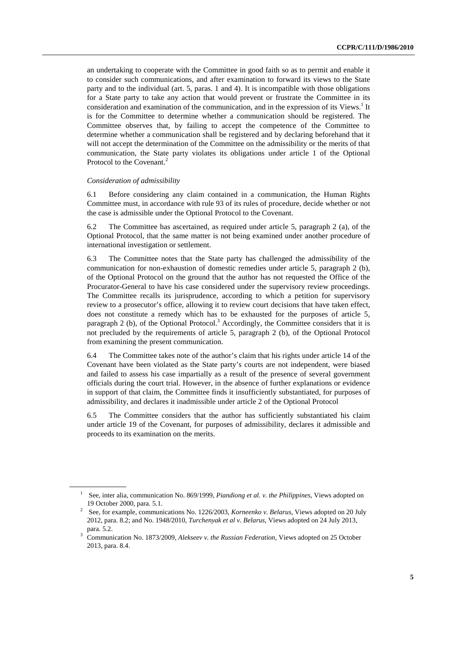an undertaking to cooperate with the Committee in good faith so as to permit and enable it to consider such communications, and after examination to forward its views to the State party and to the individual (art. 5, paras. 1 and 4). It is incompatible with those obligations for a State party to take any action that would prevent or frustrate the Committee in its consideration and examination of the communication, and in the expression of its Views.<sup>1</sup> It is for the Committee to determine whether a communication should be registered. The Committee observes that, by failing to accept the competence of the Committee to determine whether a communication shall be registered and by declaring beforehand that it will not accept the determination of the Committee on the admissibility or the merits of that communication, the State party violates its obligations under article 1 of the Optional Protocol to the Covenant.<sup>2</sup>

#### *Consideration of admissibility*

6.1 Before considering any claim contained in a communication, the Human Rights Committee must, in accordance with rule 93 of its rules of procedure, decide whether or not the case is admissible under the Optional Protocol to the Covenant.

6.2 The Committee has ascertained, as required under article 5, paragraph 2 (a), of the Optional Protocol, that the same matter is not being examined under another procedure of international investigation or settlement.

6.3 The Committee notes that the State party has challenged the admissibility of the communication for non-exhaustion of domestic remedies under article 5, paragraph 2 (b), of the Optional Protocol on the ground that the author has not requested the Office of the Procurator-General to have his case considered under the supervisory review proceedings. The Committee recalls its jurisprudence, according to which a petition for supervisory review to a prosecutor's office, allowing it to review court decisions that have taken effect, does not constitute a remedy which has to be exhausted for the purposes of article 5, paragraph 2 (b), of the Optional Protocol.<sup>3</sup> Accordingly, the Committee considers that it is not precluded by the requirements of article 5, paragraph 2 (b), of the Optional Protocol from examining the present communication.

6.4 The Committee takes note of the author's claim that his rights under article 14 of the Covenant have been violated as the State party's courts are not independent, were biased and failed to assess his case impartially as a result of the presence of several government officials during the court trial. However, in the absence of further explanations or evidence in support of that claim, the Committee finds it insufficiently substantiated, for purposes of admissibility, and declares it inadmissible under article 2 of the Optional Protocol

6.5 The Committee considers that the author has sufficiently substantiated his claim under article 19 of the Covenant, for purposes of admissibility, declares it admissible and proceeds to its examination on the merits.

<sup>&</sup>lt;sup>1</sup> See, inter alia, communication No. 869/1999, *Piandiong et al. v. the Philippines*, Views adopted on 19 October 2000, para. 5.1. 2 See, for example, communications No. 1226/2003, *Korneenko v. Belarus*, Views adopted on 20 July

<sup>2012,</sup> para. 8.2; and No. 1948/2010, *Turchenyak et al v. Belarus*, Views adopted on 24 July 2013,

para. 5.2.<br><sup>3</sup> Communication No. 1873/2009, *Alekseev v. the Russian Federation*, Views adopted on 25 October 2013, para. 8.4.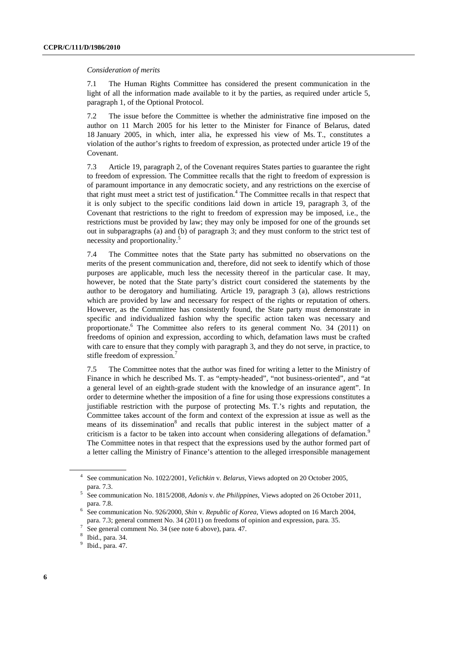#### *Consideration of merits*

7.1 The Human Rights Committee has considered the present communication in the light of all the information made available to it by the parties, as required under article 5, paragraph 1, of the Optional Protocol.

7.2 The issue before the Committee is whether the administrative fine imposed on the author on 11 March 2005 for his letter to the Minister for Finance of Belarus, dated 18 January 2005, in which, inter alia, he expressed his view of Ms. T., constitutes a violation of the author's rights to freedom of expression, as protected under article 19 of the Covenant.

7.3 Article 19, paragraph 2, of the Covenant requires States parties to guarantee the right to freedom of expression. The Committee recalls that the right to freedom of expression is of paramount importance in any democratic society, and any restrictions on the exercise of that right must meet a strict test of justification.<sup>4</sup> The Committee recalls in that respect that it is only subject to the specific conditions laid down in article 19, paragraph 3, of the Covenant that restrictions to the right to freedom of expression may be imposed, i.e., the restrictions must be provided by law; they may only be imposed for one of the grounds set out in subparagraphs (a) and (b) of paragraph 3; and they must conform to the strict test of necessity and proportionality.<sup>5</sup>

7.4 The Committee notes that the State party has submitted no observations on the merits of the present communication and, therefore, did not seek to identify which of those purposes are applicable, much less the necessity thereof in the particular case. It may, however, be noted that the State party's district court considered the statements by the author to be derogatory and humiliating. Article 19, paragraph 3 (a), allows restrictions which are provided by law and necessary for respect of the rights or reputation of others. However, as the Committee has consistently found, the State party must demonstrate in specific and individualized fashion why the specific action taken was necessary and proportionate.<sup>6</sup> The Committee also refers to its general comment No. 34 (2011) on freedoms of opinion and expression, according to which, defamation laws must be crafted with care to ensure that they comply with paragraph 3, and they do not serve, in practice, to stifle freedom of expression. $7$ 

7.5 The Committee notes that the author was fined for writing a letter to the Ministry of Finance in which he described Ms. T. as "empty-headed", "not business-oriented", and "at a general level of an eighth-grade student with the knowledge of an insurance agent". In order to determine whether the imposition of a fine for using those expressions constitutes a justifiable restriction with the purpose of protecting Ms. T.'s rights and reputation, the Committee takes account of the form and context of the expression at issue as well as the means of its dissemination<sup>8</sup> and recalls that public interest in the subject matter of a criticism is a factor to be taken into account when considering allegations of defamation.<sup>9</sup> The Committee notes in that respect that the expressions used by the author formed part of a letter calling the Ministry of Finance's attention to the alleged irresponsible management

<sup>4</sup> See communication No. 1022/2001, *Velichkin* v. *Belarus*, Views adopted on 20 October 2005,

para. 7.3. 5 See communication No. 1815/2008, *Adonis* v. *the Philippines*, Views adopted on 26 October 2011,

para. 7.8.<br><sup>6</sup> See communication No. 926/2000, *Shin v. Republic of Korea*, Views adopted on 16 March 2004, para. 7.3; general comment No. 34 (2011) on freedoms of opinion and expression, para. 35.

See general comment No. 34 (see note 6 above), para. 47.

<sup>8</sup> Ibid., para. 34.

<sup>&</sup>lt;sup>9</sup> Ibid., para. 47.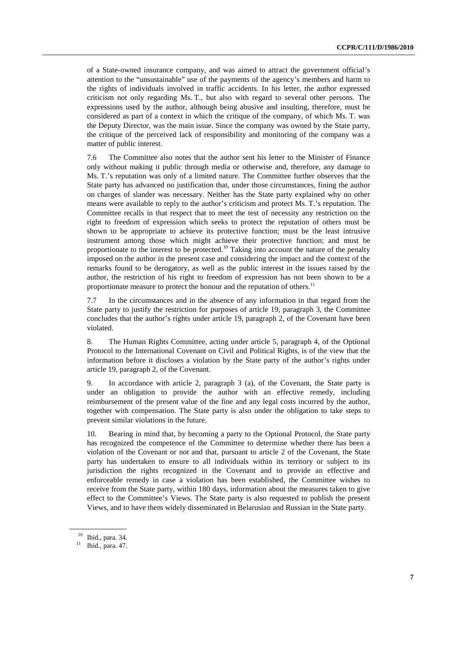of a State-owned insurance company, and was aimed to attract the government official's attention to the "unsustainable" use of the payments of the agency's members and harm to the rights of individuals involved in traffic accidents. In his letter, the author expressed criticism not only regarding Ms. T., but also with regard to several other persons. The expressions used by the author, although being abusive and insulting, therefore, must be considered as part of a context in which the critique of the company, of which Ms. T. was the Deputy Director, was the main issue. Since the company was owned by the State party, the critique of the perceived lack of responsibility and monitoring of the company was a matter of public interest.

7.6 The Committee also notes that the author sent his letter to the Minister of Finance only without making it public through media or otherwise and, therefore, any damage to Ms. T.'s reputation was only of a limited nature. The Committee further observes that the State party has advanced no justification that, under those circumstances, fining the author on charges of slander was necessary. Neither has the State party explained why no other means were available to reply to the author's criticism and protect Ms. T.'s reputation. The Committee recalls in that respect that to meet the test of necessity any restriction on the right to freedom of expression which seeks to protect the reputation of others must be shown to be appropriate to achieve its protective function; must be the least intrusive instrument among those which might achieve their protective function; and must be proportionate to the interest to be protected.<sup>10</sup> Taking into account the nature of the penalty imposed on the author in the present case and considering the impact and the context of the remarks found to be derogatory, as well as the public interest in the issues raised by the author, the restriction of his right to freedom of expression has not been shown to be a proportionate measure to protect the honour and the reputation of others.<sup>11</sup>

7.7 In the circumstances and in the absence of any information in that regard from the State party to justify the restriction for purposes of article 19, paragraph 3, the Committee concludes that the author's rights under article 19, paragraph 2, of the Covenant have been violated.

8. The Human Rights Committee, acting under article 5, paragraph 4, of the Optional Protocol to the International Covenant on Civil and Political Rights, is of the view that the information before it discloses a violation by the State party of the author's rights under article 19, paragraph 2, of the Covenant.

9. In accordance with article 2, paragraph 3 (a), of the Covenant, the State party is under an obligation to provide the author with an effective remedy, including reimbursement of the present value of the fine and any legal costs incurred by the author, together with compensation. The State party is also under the obligation to take steps to prevent similar violations in the future.

10. Bearing in mind that, by becoming a party to the Optional Protocol, the State party has recognized the competence of the Committee to determine whether there has been a violation of the Covenant or not and that, pursuant to article 2 of the Covenant, the State party has undertaken to ensure to all individuals within its territory or subject to its jurisdiction the rights recognized in the Covenant and to provide an effective and enforceable remedy in case a violation has been established, the Committee wishes to receive from the State party, within 180 days, information about the measures taken to give effect to the Committee's Views. The State party is also requested to publish the present Views, and to have them widely disseminated in Belarusian and Russian in the State party.

 $10^{10}$  Ibid., para. 34.<br>
<sup>11</sup> Ibid., para. 47.